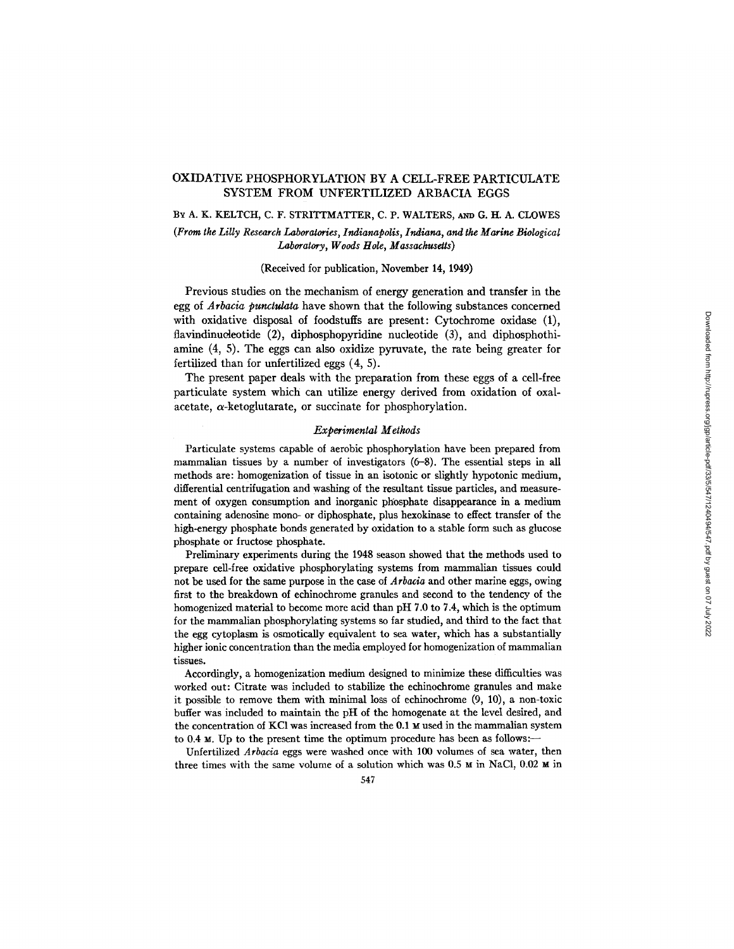# OXIDATIVE PHOSPHORYLATION BY A CELL-FREE PARTICULATE SYSTEM FROM UNFERTILIZED ARBACIA EGGS

#### BY A. K. KELTCH, C. F. STRITTMATTER, C. P. WALTERS, AND G. H. A. CLOWES

## *(From the Lilly Research Laboratories, Indianapolis, Indiana, and the Marine Biological Laboratory, Woods Hole, Massachusetts)*

#### (Received for publication, November 14, 1949)

Previous studies on the mechanism of energy generation and transfer in the egg of *Arbacia punctulata* have shown that the following substances concerned with oxidative disposal of foodstuffs are present: Cytochrome oxidase (1), flavindinucleotide (2), diphosphopyridine nucleotide (3), and diphosphothiamine (4, 5). The eggs can also oxidize pyruvate, the rate being greater for fertilized than for unfertilized eggs (4, 5).

The present paper deals with the preparation from these eggs of a cell-free particulate system which can utilize energy derived from oxidation of oxalacetate,  $\alpha$ -ketoglutarate, or succinate for phosphorylation.

## *Experimental Methods*

Particulate systems capable of aerobic phosphorylation have been prepared from mammalian tissues by a number of investigators (6-8). The essential steps in all methods are: homogenization of tissue in an isotonic or slightly hypotonic medium, differential centrifugation and washing of the resultant tissue particles, and measurement of oxygen consumption and inorganic phosphate disappearance in a medium containing adenosine mono- or diphosphate, plus hexokinase to effect transfer of the high-energy phosphate bonds generated by oxidation to a stable form such as glucose phosphate or fructose phosphate.

Preliminary experiments during the 1948 season showed that the methods used to prepare cell-free oxidative phosphorylating systems from mammalian tissues could not be used for the same purpose in the case of *Arbacia* and other marine eggs, owing first to the breakdown of echinochrome granules and second to the tendency of the homogenized material to become more acid than pH 7.0 to 7.4, which is the optimum for the mammalian phosphorylating systems so far studied, and third to the fact that the egg cytoplasm is osmotically equivalent to sea water, which has a substantially higher ionic concentration than the media employed for homogenization of mammalian tissues.

Accordingly, a homogenization medium designed to minimize these difficulties was worked out: Citrate was included to stabilize the echinochrome granules and make it possible to remove them with minimal loss of echinochrome (9, 10), a non-toxic buffer was included to maintain the pH of the homogenate at the level desired, and the concentration of KC1 was increased from the 0.1 M used in the mammalian system to  $0.4$  M. Up to the present time the optimum procedure has been as follows:-

Unfertilized *Arbacia* eggs were washed once with 100 volumes of sea water, then three times with the same volume of a solution which was  $0.5 ~\text{m}$  in NaCl,  $0.02 ~\text{m}$  in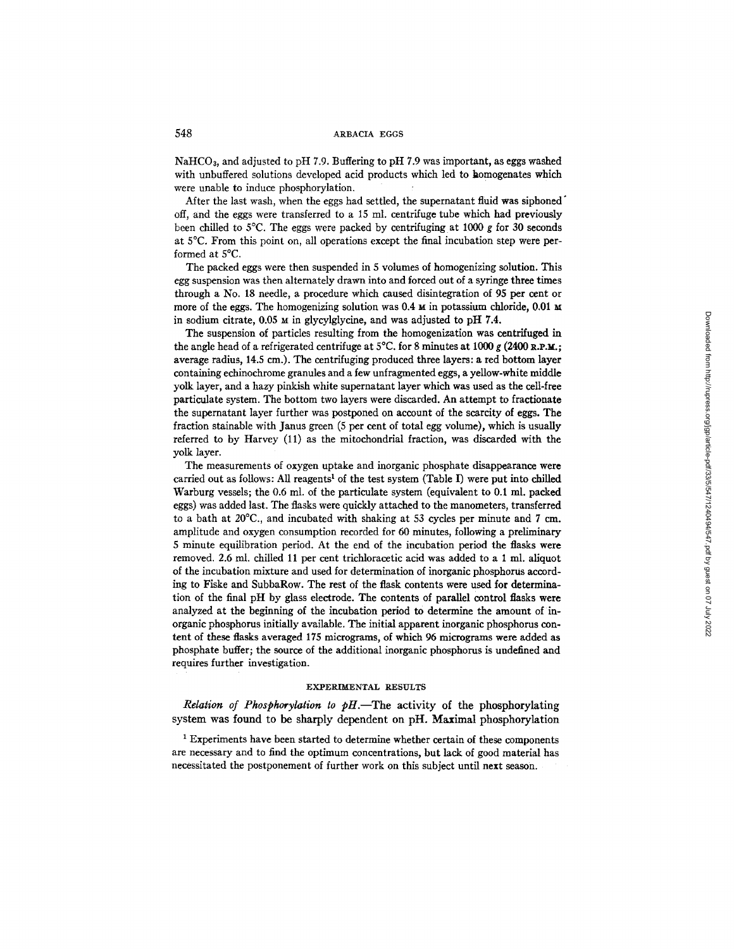NaHCO3, and adjusted to pH 7.9. Buffeting to pH 7.9 was important, as eggs washed with unbuffered solutions developed acid products which led to homogenates which were unable to induce phosphorylation.

After the last wash, when the eggs had settled, the supernatant fluid was siphoned off, and the eggs were transferred to a 15 ml. centrifuge tube which had previously been chilled to 5 $\degree$ C. The eggs were packed by centrifuging at 1000 g for 30 seconds at 5°C. From this point on, all operations except the final incubation step were performed at 5°C.

The packed eggs were then suspended in 5 volumes of homogenizing solution. This egg suspension was then alternately drawn into and forced out of a syringe three times through a No. 18 needle, a procedure which caused disintegration of 95 per cent or more of the eggs. The homogenizing solution was  $0.4 \text{ m}$  in potassium chloride,  $0.01 \text{ m}$ in sodium citrate, 0.05 M in glycylglycine, and was adjusted to pH 7.4.

The suspension of particles resulting from the homogenization was centrifuged in the angle head of a refrigerated centrifuge at  $5^{\circ}$ C. for 8 minutes at 1000 g (2400 R.P.M.; average radius, 14.5 cm.). The centrifuging produced three layers: a red bottom layer containing echinochrome granules and a few unfragmented eggs, a yellow-white middle yolk layer, and a hazy pinkish white supernatant layer which was used as the cell-free particulate system. The bottom two layers were discarded. An attempt to fractionate the supernatant layer further was postponed on account of the scarcity of eggs. The fraction stainable with Janus green (5 per cent of total egg volume), which is usually referred to by Harvey (11) as the mitochondrial fraction, was discarded with the yolk layer.

The measurements of oxygen uptake and inorganic phosphate disappearance were carried out as follows: All reagents<sup>1</sup> of the test system (Table I) were put into chilled Warburg vessels; the 0.6 ml. of the particulate system (equivalent to 0.1 ml. packed eggs) was added last. The flasks were quickly attached to the manometers, transferred to a bath at 20°C., and incubated with shaking at 53 cycles per minute and 7 cm. amplitude and oxygen consumption recorded for 60 minutes, following a preliminary 5 minute equilibration period. At the end of the incubation period the flasks were removed. 2.6 ml. chilled 11 per cent trichloracetic acid was added to a 1 ml. aliquot of the incubation mixture and used for determination of inorganic phosphorus according to Fiske and SubhaRow. The rest of the flask contents were used for determination of the final pH by glass electrode. The contents of parallel control flasks were analyzed at the beginning of the incubation period to determine the amount of inorganic phosphorus initially available. The initial apparent inorganic phosphorus content of these flasks averaged 175 micrograms, of which 96 micrograms were added as phosphate buffer; the source of the additional inorganic phosphorus is undefined and requires further investigation.

#### EXPERIMENTAL RESULTS

*Relation of Phosphorylation to*  $pH$ *.*—The activity of the phosphorylating system was found to be sharply dependent on pH. Maximal phosphorylation

<sup>1</sup> Experiments have been started to determine whether certain of these components are necessary and to find the optimum concentrations, but lack of good material has necessitated the postponement of further work on this subject until next season.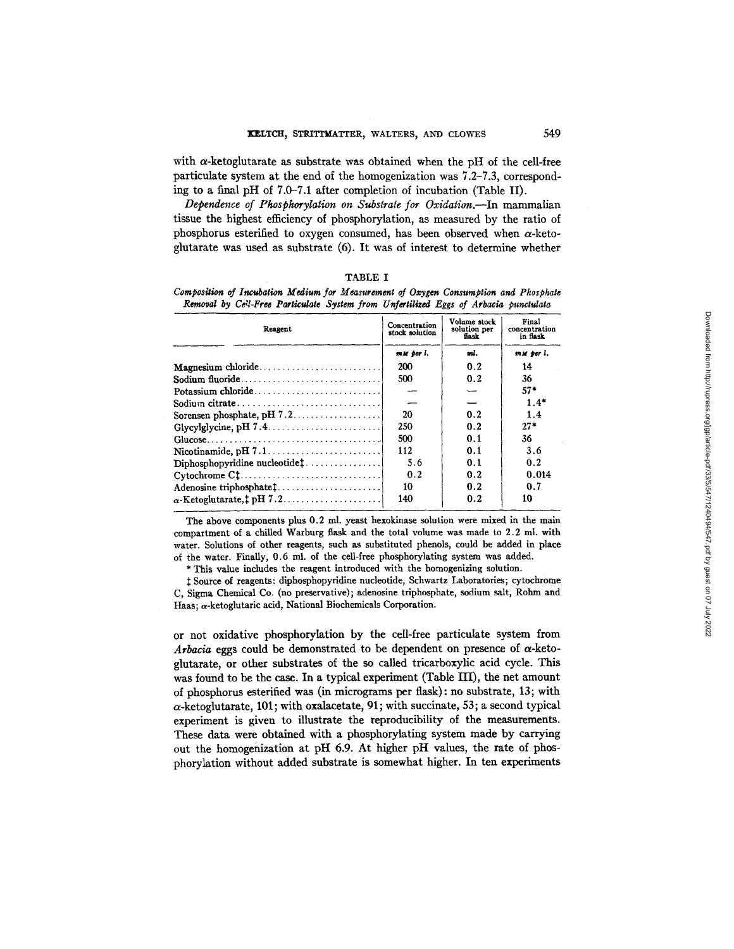with  $\alpha$ -ketoglutarate as substrate was obtained when the pH of the cell-free particulate system at the end of the homogenization was 7.2-7.3, corresponding to a final pH of 7.0-7.1 after completion of incubation (Table II).

*Dependence of Phosphorylation on Substrate for Oxidation.--In* mammalian tissue the highest efficiency of phosphorylation, as measured by the ratio of phosphorus esterified to oxygen consumed, has been observed when  $\alpha$ -ketoglutarate was used as substrate (6). It was of interest to determine whether

| v<br>× |
|--------|
|--------|

| Composition of Incubation Medium for Measurement of Oxygen Consumption and Phosphate |  |  |
|--------------------------------------------------------------------------------------|--|--|
| Removal by Cell-Free Particulate System from Unfertilized Eggs of Arbacia punctulata |  |  |

| Reagent                             | Concentration<br>stock solution | Volume stock<br>solution per<br>fiask | Final<br>concentration<br>in fiask |
|-------------------------------------|---------------------------------|---------------------------------------|------------------------------------|
|                                     | mu per i.                       | mi.                                   | mu per l.                          |
| Magnesium chloride                  | 200                             | 0.2                                   | 14                                 |
| Sodium fluoride                     | 500                             | 0.2                                   | 36                                 |
| Potassium chloride                  |                                 |                                       | $57*$                              |
|                                     |                                 |                                       | $1.4*$                             |
|                                     | 20                              | 0.2                                   | 1.4                                |
|                                     | 250                             | 0.2                                   | $27*$                              |
|                                     | 500                             | 0.1                                   | 36                                 |
|                                     | 112                             | 0.1                                   | 3.6                                |
| $Diphosphopyridine nucleotide$ :    | 5.6                             | 0.1                                   | 0.2                                |
|                                     | 0.2                             | 0.2                                   | 0.014                              |
| Adenosine triphosphate <sup>†</sup> | 10                              | 0.2                                   | 0.7                                |
| $\alpha$ -Ketoglutarate, † pH 7.2   | 140                             | 0.2                                   | 10                                 |

The above components plus 0.2 ml. yeast hexokinase solution were mixed in the main compartment of a chilled Warburg flask and the total volume was made to 2.2 ml. with water. Solutions of other reagents, such as substituted phenols, could be added in place of the water. Finally, 0.6 ml. of the cell-free phosphorylating system was added.

\* This value includes the reagent introduced with the homogenizing solution.

Source of reagents: diphosphopyridine nucleotide, Schwartz Laboratories; cytochrome C, Sigma Chemical Co. (no preservative); adenosine triphosphate, sodium salt, Rohm and Haas;  $\alpha$ -ketoglutaric acid, National Biochemicals Corporation.

or not oxidative phosphorylation by the cell-free particulate system from *Arbacia* eggs could be demonstrated to be dependent on presence of  $\alpha$ -ketoglutarate, or other substrates of the so called tricarboxylic acid cycle. This was found to be the case. In a typical experiment (Table III), the net amount of phosphorus esterified was (in micrograms per flask): no substrate, 13; with  $\alpha$ -ketoglutarate, 101; with oxalacetate, 91; with succinate, 53; a second typical experiment is given to illustrate the reproducibility of the measurements. These data were obtained with a phosphorylating system made by carrying out the homogenization at pH 6.9. At higher pH values, the rate of phosphorylation without added substrate is somewhat higher. In ten experiments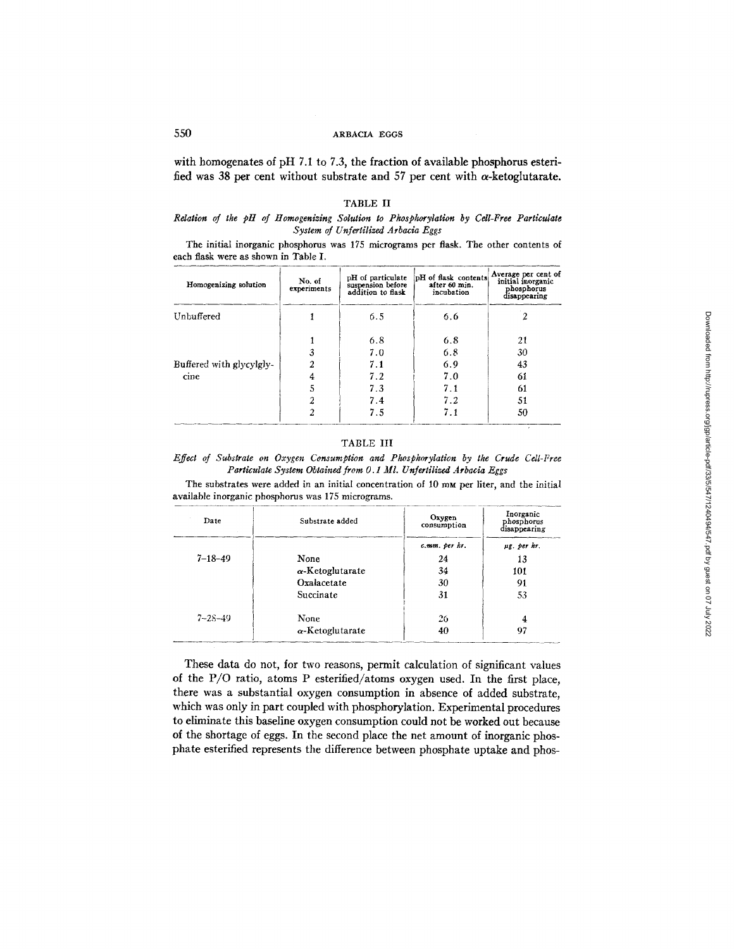# 550 ARBACIA EGGS

with homogenates of pH 7.1 to 7.3, the fraction of available phosphorus esterified was 38 per cent without substrate and 57 per cent with  $\alpha$ -ketoglutarate.

#### TABLE II

## *Relation of the pH of Homogenizing Solution to Pkosphorylation by Cell-Free Particulate*  System of Unfertilized Arbacia Eggs

The initial inorganic phosphorus was 175 micrograms per flask. The other contents of each flask were as shown in Table I.

| Homogenizing solution    | No. of<br>experiments | pH of particulate<br>suspension before<br>addition to flask | pH of flask contents<br>after 60 min.<br>incubation | Average per cent of<br>initial inorganic<br>phosphorus<br>disappearing |
|--------------------------|-----------------------|-------------------------------------------------------------|-----------------------------------------------------|------------------------------------------------------------------------|
| Unbuffered               |                       | 6.5                                                         | 6.6                                                 | 2                                                                      |
|                          |                       | 6.8                                                         | 6.8                                                 | 21                                                                     |
|                          | 3                     | 7.0                                                         | 6.8                                                 | 30                                                                     |
| Buffered with glycylgly- | 2                     | 7.1                                                         | 6.9                                                 | 43                                                                     |
| cine                     | 4                     | 7.2                                                         | 7.0                                                 | 61                                                                     |
|                          | 5                     | 7.3                                                         | 7.1                                                 | 61                                                                     |
|                          | 2                     | 7.4                                                         | 7.2                                                 | 51                                                                     |
|                          | 2                     | 7.5                                                         | 7.1                                                 | 50                                                                     |

## TABLE III

*Effect of Substrate on Oxygen Consumption and Phosphorylation by the Crude Cell-Free Particulate System Obtained from 0.1 M1. Unfertilized Arbacia Eggs* 

The substrates were added in an initial concentration of 10 mm per liter, and the initial available inorganic phosphorus was 175 micrograms.

| Date          | Substrate added         | Oxygen<br>consumption | Inorganic<br>phosphorus<br>disappearing |
|---------------|-------------------------|-----------------------|-----------------------------------------|
|               |                         | c.mm. per hr.         | µg. per hr.                             |
| $7 - 18 - 49$ | None                    | 24                    | 13                                      |
|               | $\alpha$ -Ketoglutarate | 34                    | 101                                     |
|               | Oxalacetate             | 30                    | 91                                      |
|               | Succinate               | 31                    | 53                                      |
| $7 - 28 - 49$ | None                    | 26                    | 4                                       |
|               | $\alpha$ -Ketoglutarate | 40                    | 97                                      |

These data do not, for two reasons, permit calculation of significant values of the P/O ratio, atoms P esterified/atoms oxygen used. In the first place, there was a substantial oxygen consumption in absence of added substrate, which was only in part coupled with phosphorylation. Experimental procedures to eliminate this baseline oxygen consumption could not be worked out because of the shortage of eggs. In the second place the net amount of inorganic phosphate esterified represents the difference between phosphate uptake and phos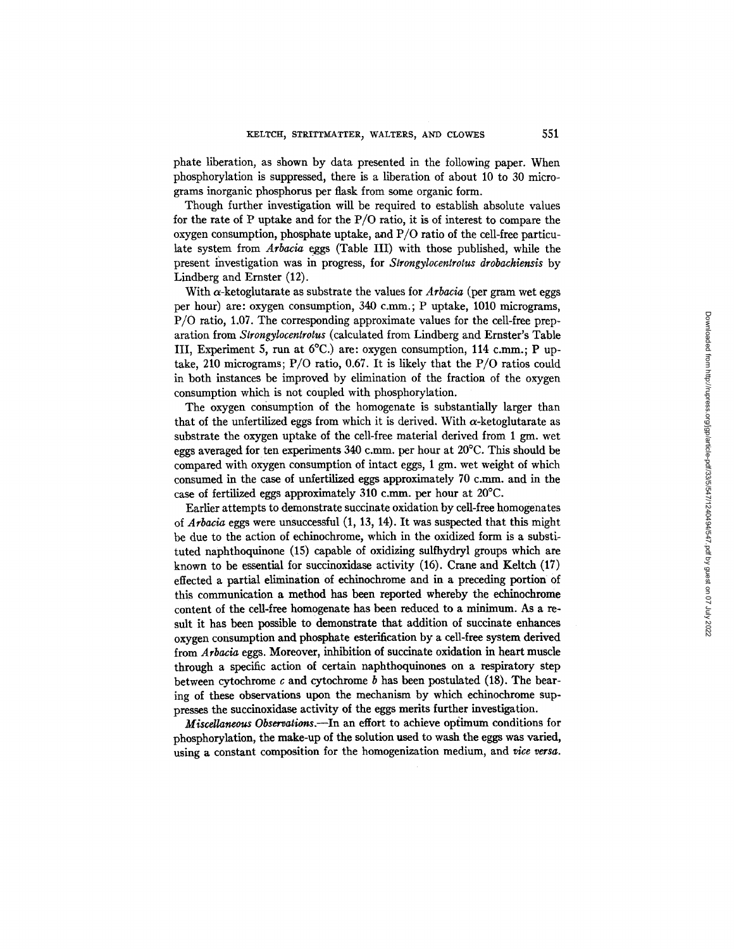phate liberation, as shown by data presented in the following paper. When phosphorylation is suppressed, there is a liberation of about 10 to 30 micrograms inorganic phosphorus per flask from some organic form.

Though further investigation will be required to establish absolute values for the rate of P uptake and for the P/O ratio, it is of interest to compare the oxygen consumption, phosphate uptake, and  $P/O$  ratio of the cell-free particulate system from *Arbacia* eggs (Table III) with those published, while the present investigation was in progress, for *Strongylocentrotus drobachiensis* by Lindberg and Ernster (12).

With  $\alpha$ -ketoglutarate as substrate the values for *Arbacia* (per gram wet eggs per hour) are: oxygen consumption, 340 c.mm.; P Uptake, 1010 micrograms, P/O ratio, 1.07. The corresponding approximate values for the cell-free preparation from *Strongylocentrotus* (calculated from Lindberg and Ernster's Table III, Experiment 5, run at 6°C.) are: oxygen consumption, 114 c.mm.; P uptake, 210 micrograms; P/O ratio, 0.67. It is likely that the P/O ratios could in both instances be improved by elimination of the fraction of the oxygen consumption which is not coupled with phosphorylation.

The oxygen consumption of the homogenate is substantially larger than that of the unfertilized eggs from which it is derived. With  $\alpha$ -ketoglutarate as substrate the oxygen uptake of the cell-free material derived from 1 gm. wet eggs averaged for ten experiments 340 c.mm. per hour at 20°C. This should be compared with oxygen consumption of intact eggs, 1 gm. wet weight of which consumed in the case of unfertilized eggs approximately 70 c.mm. and in the case of fertilized eggs approximately 310 c.mm. per hour at 20°C.

Earlier attempts to demonstrate succinate oxidation by cell-free homogenates of *Arbacia* eggs were unsuccessful (1, 13, 14). It was suspected that this might be due to the action of echinochrome, which in the oxidized form is a substi. tuted naphthoquinone (15) capable of oxidizing sulfhydryl groups which are known to be essential for succinoxidase activity (16). Crane and Keltch (17) effected a partial elimination of echinochrome and in a preceding portion of this communication a method has been reported whereby the echinochrome content of the cell-free homogenate has been reduced to a minimum. As a result it has been possible to demonstrate that addition of succinate enhances oxygen consumption and phosphate esterification by a cell-free system derived from *Arbacia* eggs. Moreover, inhibition of succinate oxidation in heart muscle through a specific action of certain naphthoquinones on a respiratory step between cytochrome  $c$  and cytochrome  $b$  has been postulated (18). The bearing of these observations upon the mechanism by which echinochrome suppresses the succinoxidase activity of the eggs merits further investigation.

*Miscellaneous Observations.*--In an effort to achieve optimum conditions for phosphorylation, the make-up of the solution used to wash the eggs was varied, using a constant composition for the homogenization medium, and *rice versa.*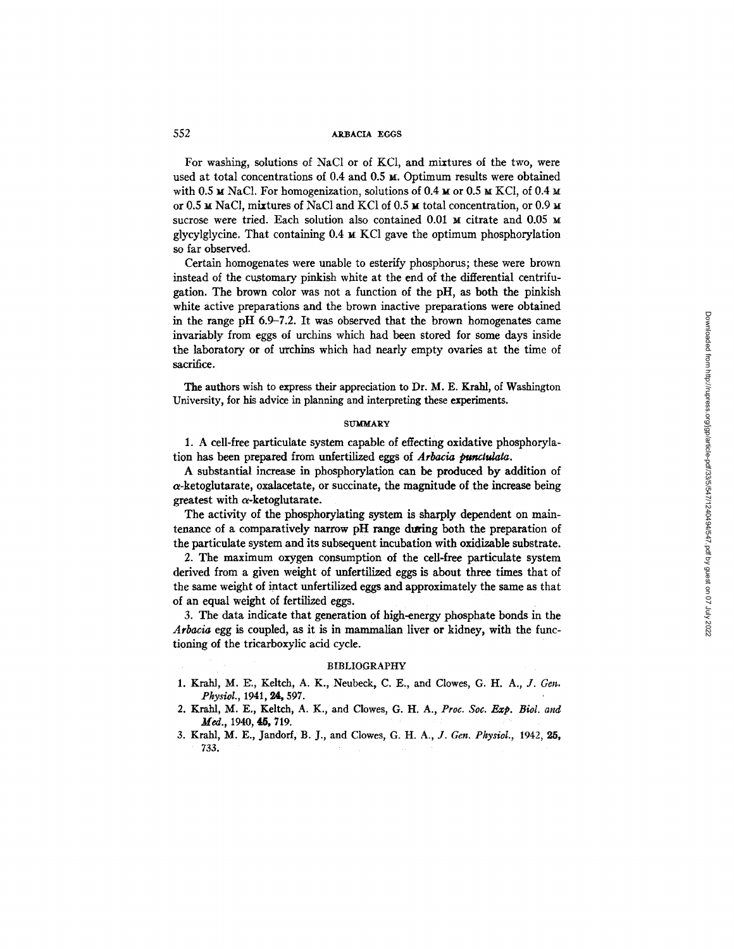#### 552 ARBACIA EGGS

For washing, solutions of NaC1 or of KC1, and mixtures of the two, were used at total concentrations of  $0.4$  and  $0.5 ~\text{m}$ . Optimum results were obtained with 0.5  $\times$  NaCl. For homogenization, solutions of 0.4  $\times$  or 0.5  $\times$  KCl, of 0.4  $\times$ or 0.5  $\texttt{M}$  NaCl, mixtures of NaCl and KCl of 0.5  $\texttt{M}$  total concentration, or 0.9  $\texttt{M}$ sucrose were tried. Each solution also contained  $0.01 \text{ m}$  citrate and  $0.05 \text{ m}$ glycylglycine. That containing  $0.4 \times \text{KCl}$  gave the optimum phosphorylation so far observed.

Certain homogenates were unable to esterify phosphorus; these were brown instead of the customary pinkish white at the end of the differential centrifugation. The brown color was not a function of the pH, as both the pinkish white active preparations and the brown inactive preparations were obtained in the range pH 6.9-7.2. It was observed that the brown homogenates came invariably from eggs of urchins which had been stored for some days inside the laboratory or of urchins which had nearly empty ovaries at the time of sacrifice.

The authors wish to express their appreciation to Dr. M. E. Krahl, of Washington University, for his advice in planning and interpreting these experiments.

#### **SUMMARY**

1. A cell-free particulate system capable of effecting oxidative phosphorylation has been prepared from unfertilized eggs of *Arbacia punaulata.* 

A substantial increase in phosphorylation can be produced by addition of a-ketoglutarate, oxalacetate, or succinate, the magnitude of the increase being greatest with  $\alpha$ -ketoglutarate.

The activity of the phospborylating system is sharply dependent on maintenance of a comparatively narrow pH range during both the preparation of the particulate system and its subsequent incubation with oxidizable substrate.

2. The maximum oxygen consumption of the cell-free particulate system derived from a given weight of unfertilized eggs is about three times that of the same weight of intact unfertilized eggs and approximately the same as that of an equal weight of fertilized eggs.

3. The data indicate that generation of high-energy phosphate bonds in the *Arbacia* egg is coupled, as it is in mammalian liver or kidney, with the functioning of the tricarboxylic acid cycle.

#### BIBLIOGRAPHY

- 1. Krahl, M. E'., Keltch, A. K., Neubeck, C. E., and Clowes, G. H. A., *J. Gen. Physiol.,* 1941, 24, 597.
- 2. Krahl, M. E., Keltch, A. K., and Clowes, G. H. A., *Proc. Soc. Exp. Biol. and*  Med., 1940, 45, 719.
- 3. Krahl, M. E., Jandorf, B. J., and Clowes, *G. H. A., J. Gen. Physiol.,* 1942, **25,**  733.